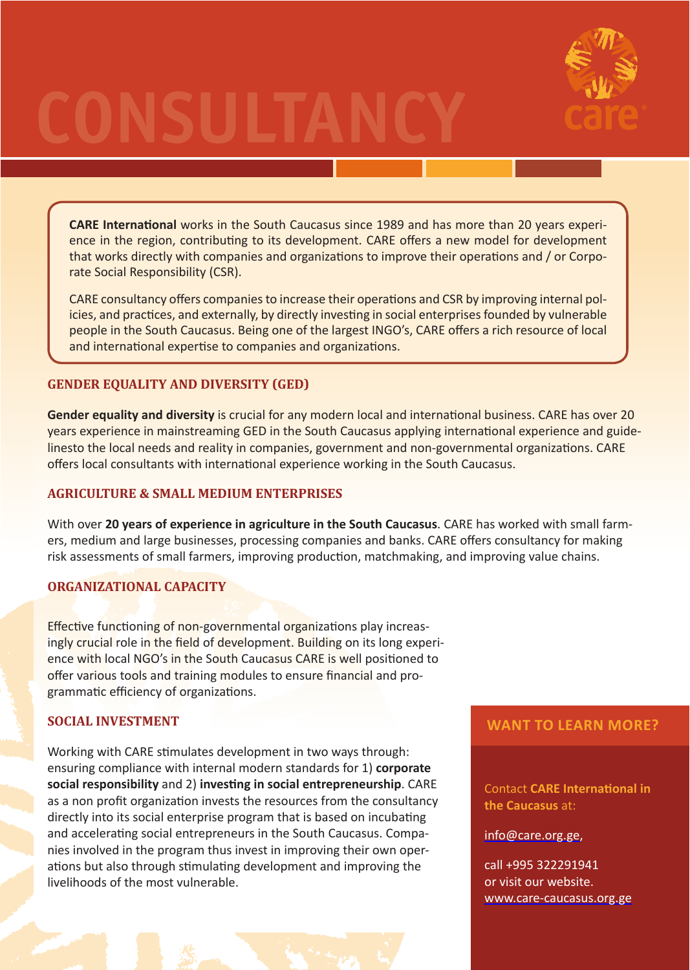# **CONSULTANCY**



**CARE International** works in the South Caucasus since 1989 and has more than 20 years experience in the region, contributing to its development. CARE offers a new model for development that works directly with companies and organizations to improve their operations and / or Corporate Social Responsibility (CSR).

CARE consultancy offers companies to increase their operations and CSR by improving internal policies, and practices, and externally, by directly investing in social enterprises founded by vulnerable people in the South Caucasus. Being one of the largest INGO's, CARE offers a rich resource of local and international expertise to companies and organizations.

# **GENDER EQUALITY AND DIVERSITY (GED)**

**Gender equality and diversity** is crucial for any modern local and international business. CARE has over 20 years experience in mainstreaming GED in the South Caucasus applying international experience and guidelinesto the local needs and reality in companies, government and non-governmental organizations. CARE offers local consultants with international experience working in the South Caucasus.

# **AGRICULTURE & SMALL MEDIUM ENTERPRISES**

With over **20 years of experience in agriculture in the South Caucasus**. CARE has worked with small farmers, medium and large businesses, processing companies and banks. CARE offers consultancy for making risk assessments of small farmers, improving production, matchmaking, and improving value chains.

## **ORGANIZATIONAL CAPACITY**

Effective functioning of non-governmental organizations play increasingly crucial role in the field of development. Building on its long experience with local NGO's in the South Caucasus CARE is well positioned to offer various tools and training modules to ensure financial and programmatic efficiency of organizations.

## **SOCIAL INVESTMENT**

Working with CARE stimulates development in two ways through: ensuring compliance with internal modern standards for 1) **corporate social responsibility** and 2) **investing in social entrepreneurship**. CARE as a non profit organization invests the resources from the consultancy directly into its social enterprise program that is based on incubating and accelerating social entrepreneurs in the South Caucasus. Companies involved in the program thus invest in improving their own operations but also through stimulating development and improving the livelihoods of the most vulnerable.

## **WANT TO LEARN MORE?**

Contact **CARE International in the Caucasus** at:

info@care.org.ge,

call +995 322291941 or visit our website. www.care-caucasus.org.ge